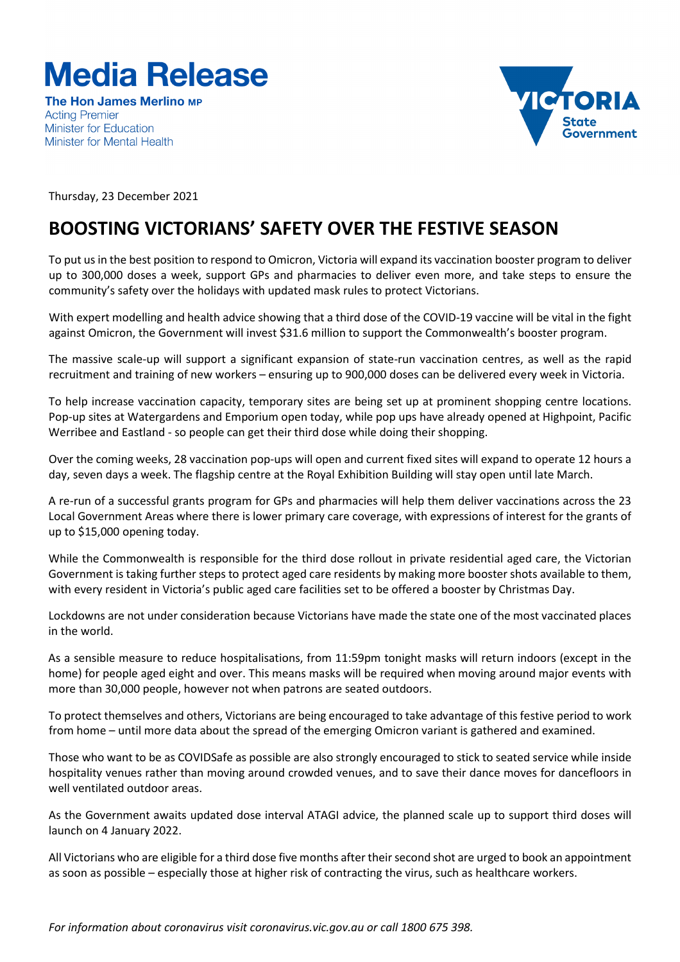## **Media Release**

**The Hon James Merlino MP Acting Premier Minister for Education Minister for Mental Health** 



Thursday, 23 December 2021

## **BOOSTING VICTORIANS' SAFETY OVER THE FESTIVE SEASON**

To put us in the best position to respond to Omicron, Victoria will expand its vaccination booster program to deliver up to 300,000 doses a week, support GPs and pharmacies to deliver even more, and take steps to ensure the community's safety over the holidays with updated mask rules to protect Victorians.

With expert modelling and health advice showing that a third dose of the COVID-19 vaccine will be vital in the fight against Omicron, the Government will invest \$31.6 million to support the Commonwealth's booster program.

The massive scale-up will support a significant expansion of state-run vaccination centres, as well as the rapid recruitment and training of new workers – ensuring up to 900,000 doses can be delivered every week in Victoria.

To help increase vaccination capacity, temporary sites are being set up at prominent shopping centre locations. Pop-up sites at Watergardens and Emporium open today, while pop ups have already opened at Highpoint, Pacific Werribee and Eastland - so people can get their third dose while doing their shopping.

Over the coming weeks, 28 vaccination pop-ups will open and current fixed sites will expand to operate 12 hours a day, seven days a week. The flagship centre at the Royal Exhibition Building will stay open until late March.

A re-run of a successful grants program for GPs and pharmacies will help them deliver vaccinations across the 23 Local Government Areas where there is lower primary care coverage, with expressions of interest for the grants of up to \$15,000 opening today.

While the Commonwealth is responsible for the third dose rollout in private residential aged care, the Victorian Government is taking further steps to protect aged care residents by making more boostershots available to them, with every resident in Victoria's public aged care facilities set to be offered a booster by Christmas Day.

Lockdowns are not under consideration because Victorians have made the state one of the most vaccinated places in the world.

As a sensible measure to reduce hospitalisations, from 11:59pm tonight masks will return indoors (except in the home) for people aged eight and over. This means masks will be required when moving around major events with more than 30,000 people, however not when patrons are seated outdoors.

To protect themselves and others, Victorians are being encouraged to take advantage of this festive period to work from home – until more data about the spread of the emerging Omicron variant is gathered and examined.

Those who want to be as COVIDSafe as possible are also strongly encouraged to stick to seated service while inside hospitality venues rather than moving around crowded venues, and to save their dance moves for dancefloors in well ventilated outdoor areas.

As the Government awaits updated dose interval ATAGI advice, the planned scale up to support third doses will launch on 4 January 2022.

All Victorians who are eligible for a third dose five months after their second shot are urged to book an appointment as soon as possible – especially those at higher risk of contracting the virus, such as healthcare workers.